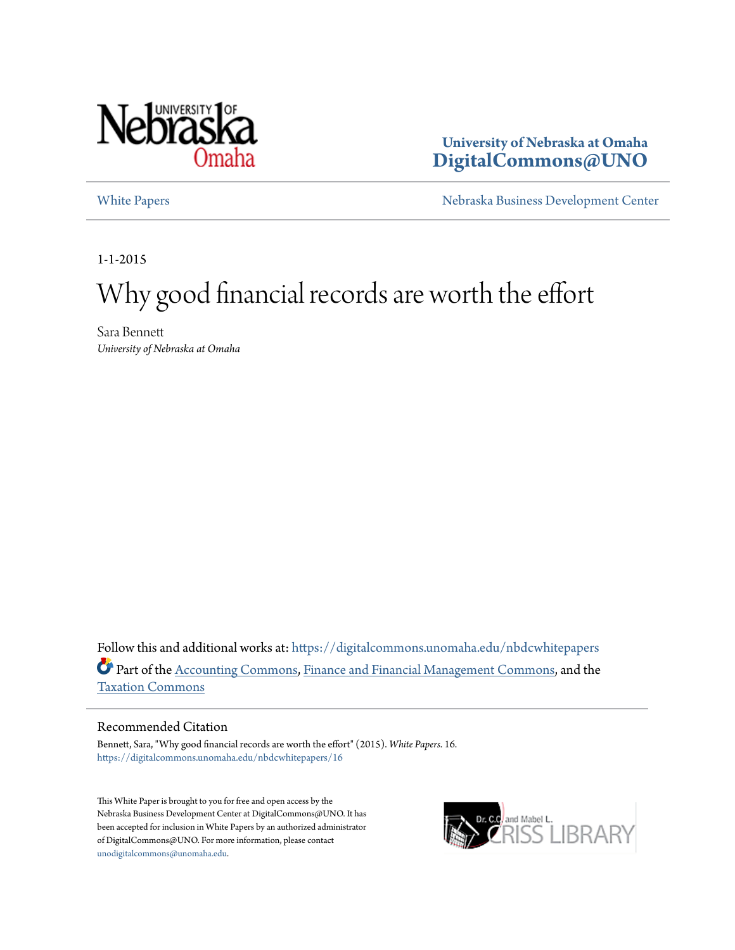

**University of Nebraska at Omaha [DigitalCommons@UNO](https://digitalcommons.unomaha.edu?utm_source=digitalcommons.unomaha.edu%2Fnbdcwhitepapers%2F16&utm_medium=PDF&utm_campaign=PDFCoverPages)**

[White Papers](https://digitalcommons.unomaha.edu/nbdcwhitepapers?utm_source=digitalcommons.unomaha.edu%2Fnbdcwhitepapers%2F16&utm_medium=PDF&utm_campaign=PDFCoverPages) [Nebraska Business Development Center](https://digitalcommons.unomaha.edu/nbdc?utm_source=digitalcommons.unomaha.edu%2Fnbdcwhitepapers%2F16&utm_medium=PDF&utm_campaign=PDFCoverPages)

1-1-2015

# Why good financial records are worth the effort

Sara Bennett *University of Nebraska at Omaha*

Follow this and additional works at: [https://digitalcommons.unomaha.edu/nbdcwhitepapers](https://digitalcommons.unomaha.edu/nbdcwhitepapers?utm_source=digitalcommons.unomaha.edu%2Fnbdcwhitepapers%2F16&utm_medium=PDF&utm_campaign=PDFCoverPages) Part of the [Accounting Commons](http://network.bepress.com/hgg/discipline/625?utm_source=digitalcommons.unomaha.edu%2Fnbdcwhitepapers%2F16&utm_medium=PDF&utm_campaign=PDFCoverPages), [Finance and Financial Management Commons](http://network.bepress.com/hgg/discipline/631?utm_source=digitalcommons.unomaha.edu%2Fnbdcwhitepapers%2F16&utm_medium=PDF&utm_campaign=PDFCoverPages), and the [Taxation Commons](http://network.bepress.com/hgg/discipline/643?utm_source=digitalcommons.unomaha.edu%2Fnbdcwhitepapers%2F16&utm_medium=PDF&utm_campaign=PDFCoverPages)

#### Recommended Citation

Bennett, Sara, "Why good financial records are worth the effort" (2015). *White Papers*. 16. [https://digitalcommons.unomaha.edu/nbdcwhitepapers/16](https://digitalcommons.unomaha.edu/nbdcwhitepapers/16?utm_source=digitalcommons.unomaha.edu%2Fnbdcwhitepapers%2F16&utm_medium=PDF&utm_campaign=PDFCoverPages)

This White Paper is brought to you for free and open access by the Nebraska Business Development Center at DigitalCommons@UNO. It has been accepted for inclusion in White Papers by an authorized administrator of DigitalCommons@UNO. For more information, please contact [unodigitalcommons@unomaha.edu](mailto:unodigitalcommons@unomaha.edu).

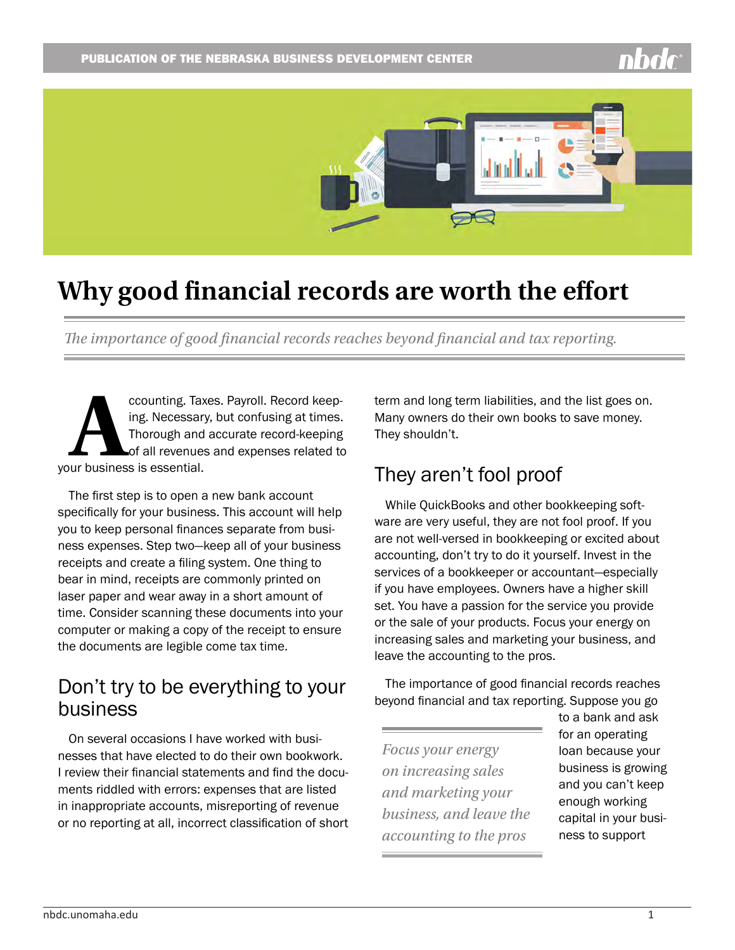

## **Why good financial records are worth the effort**

*The importance of good financial records reaches beyond financial and tax reporting.* 

ccounting. Taxes. Payroll. Record keep-<br>ing. Necessary, but confusing at times.<br>Thorough and accurate record-keeping<br>of all revenues and expenses related to<br>ur business is essential. ing. Necessary, but confusing at times. Thorough and accurate record-keeping of all revenues and expenses related to your business is essential.

The first step is to open a new bank account specifically for your business. This account will help you to keep personal finances separate from business expenses. Step two—keep all of your business receipts and create a filing system. One thing to bear in mind, receipts are commonly printed on laser paper and wear away in a short amount of time. Consider scanning these documents into your computer or making a copy of the receipt to ensure the documents are legible come tax time.

### Don't try to be everything to your business

On several occasions I have worked with businesses that have elected to do their own bookwork. I review their financial statements and find the documents riddled with errors: expenses that are listed in inappropriate accounts, misreporting of revenue or no reporting at all, incorrect classification of short term and long term liabilities, and the list goes on. Many owners do their own books to save money. They shouldn't.

### They aren't fool proof

While QuickBooks and other bookkeeping software are very useful, they are not fool proof. If you are not well-versed in bookkeeping or excited about accounting, don't try to do it yourself. Invest in the services of a bookkeeper or accountant—especially if you have employees. Owners have a higher skill set. You have a passion for the service you provide or the sale of your products. Focus your energy on increasing sales and marketing your business, and leave the accounting to the pros.

The importance of good financial records reaches beyond financial and tax reporting. Suppose you go

*Focus your energy on increasing sales and marketing your business, and leave the accounting to the pros*

to a bank and ask for an operating loan because your business is growing and you can't keep enough working capital in your business to support